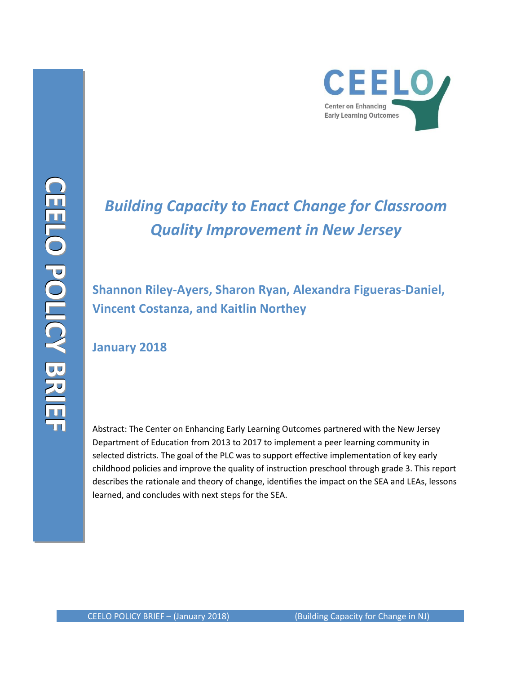

# *Building Capacity to Enact Change for Classroom Quality Improvement in New Jersey*

# **Shannon Riley-Ayers, Sharon Ryan, Alexandra Figueras-Daniel, Vincent Costanza, and Kaitlin Northey**

# **January 2018**

Abstract: The Center on Enhancing Early Learning Outcomes partnered with the New Jersey Department of Education from 2013 to 2017 to implement a peer learning community in selected districts. The goal of the PLC was to support effective implementation of key early childhood policies and improve the quality of instruction preschool through grade 3. This report describes the rationale and theory of change, identifies the impact on the SEA and LEAs, lessons learned, and concludes with next steps for the SEA.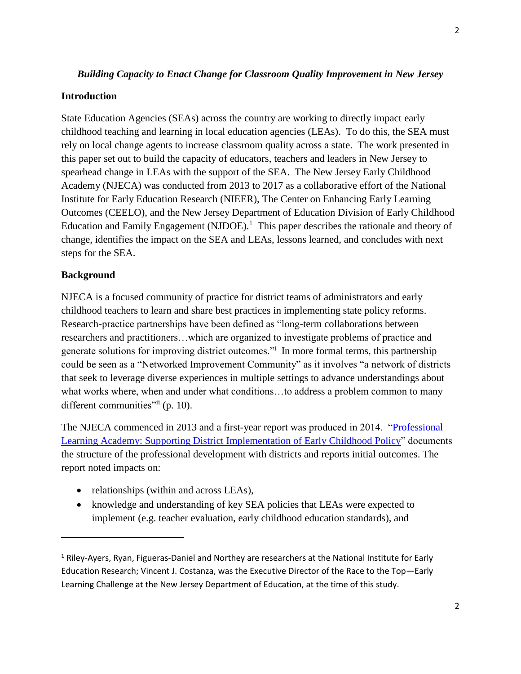### *Building Capacity to Enact Change for Classroom Quality Improvement in New Jersey*

#### **Introduction**

State Education Agencies (SEAs) across the country are working to directly impact early childhood teaching and learning in local education agencies (LEAs). To do this, the SEA must rely on local change agents to increase classroom quality across a state. The work presented in this paper set out to build the capacity of educators, teachers and leaders in New Jersey to spearhead change in LEAs with the support of the SEA. The New Jersey Early Childhood Academy (NJECA) was conducted from 2013 to 2017 as a collaborative effort of the National Institute for Early Education Research (NIEER), The Center on Enhancing Early Learning Outcomes (CEELO), and the New Jersey Department of Education Division of Early Childhood Education and Family Engagement (NJDOE).<sup>1</sup> This paper describes the rationale and theory of change, identifies the impact on the SEA and LEAs, lessons learned, and concludes with next steps for the SEA.

#### **Background**

 $\overline{\phantom{a}}$ 

NJECA is a focused community of practice for district teams of administrators and early childhood teachers to learn and share best practices in implementing state policy reforms. Research-practice partnerships have been defined as "long-term collaborations between researchers and practitioners…which are organized to investigate problems of practice and generate solutions for improving district outcomes." In more formal terms, this partnership could be seen as a "Networked Improvement Community" as it involves "a network of districts that seek to leverage diverse experiences in multiple settings to advance understandings about what works where, when and under what conditions...to address a problem common to many different communities"ii (p. 10).

The NJECA commenced in 2013 and a first-year report was produced in 2014. ["Professional](http://ceelo.org/wp-content/uploads/2014/10/ceelo_fast_fact_ec_academy.pdf)  [Learning Academy: Supporting District Implementation of Early Childhood Policy"](http://ceelo.org/wp-content/uploads/2014/10/ceelo_fast_fact_ec_academy.pdf) documents the structure of the professional development with districts and reports initial outcomes. The report noted impacts on:

- relationships (within and across LEAs),
- knowledge and understanding of key SEA policies that LEAs were expected to implement (e.g. teacher evaluation, early childhood education standards), and

<sup>&</sup>lt;sup>1</sup> Riley-Ayers, Ryan, Figueras-Daniel and Northey are researchers at the National Institute for Early Education Research; Vincent J. Costanza, was the Executive Director of the Race to the Top—Early Learning Challenge at the New Jersey Department of Education, at the time of this study.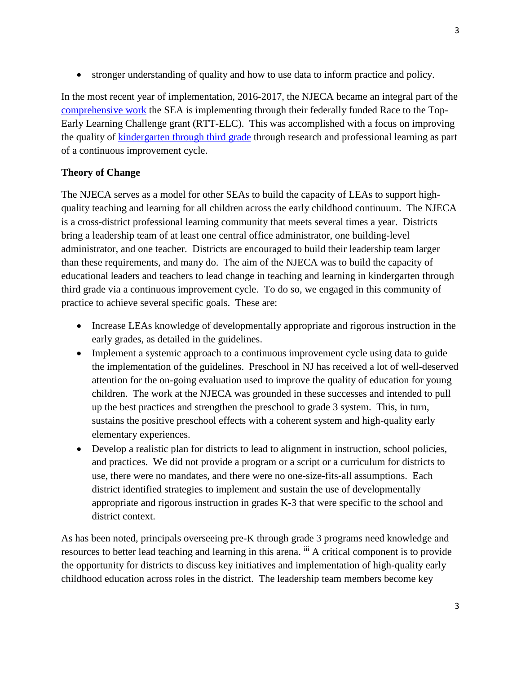• stronger understanding of quality and how to use data to inform practice and policy.

In the most recent year of implementation, 2016-2017, the NJECA became an integral part of the [comprehensive work](http://www.state.nj.us/education/ece/rttt/) the SEA is implementing through their federally funded Race to the Top-Early Learning Challenge grant (RTT-ELC). This was accomplished with a focus on improving the quality of [kindergarten through third grade](http://nieer.org/video-webinar/getting-intentional-kindergarten-third-grade-practices) through research and professional learning as part of a continuous improvement cycle.

# **Theory of Change**

The NJECA serves as a model for other SEAs to build the capacity of LEAs to support highquality teaching and learning for all children across the early childhood continuum. The NJECA is a cross-district professional learning community that meets several times a year. Districts bring a leadership team of at least one central office administrator, one building-level administrator, and one teacher. Districts are encouraged to build their leadership team larger than these requirements, and many do. The aim of the NJECA was to build the capacity of educational leaders and teachers to lead change in teaching and learning in kindergarten through third grade via a continuous improvement cycle. To do so, we engaged in this community of practice to achieve several specific goals. These are:

- Increase LEAs knowledge of developmentally appropriate and rigorous instruction in the early grades, as detailed in the guidelines.
- Implement a systemic approach to a continuous improvement cycle using data to guide the implementation of the guidelines. Preschool in NJ has received a lot of well-deserved attention for the on-going evaluation used to improve the quality of education for young children. The work at the NJECA was grounded in these successes and intended to pull up the best practices and strengthen the preschool to grade 3 system. This, in turn, sustains the positive preschool effects with a coherent system and high-quality early elementary experiences.
- Develop a realistic plan for districts to lead to alignment in instruction, school policies, and practices. We did not provide a program or a script or a curriculum for districts to use, there were no mandates, and there were no one-size-fits-all assumptions. Each district identified strategies to implement and sustain the use of developmentally appropriate and rigorous instruction in grades K-3 that were specific to the school and district context.

As has been noted, principals overseeing pre-K through grade 3 programs need knowledge and resources to better lead teaching and learning in this arena. iii A critical component is to provide the opportunity for districts to discuss key initiatives and implementation of high-quality early childhood education across roles in the district. The leadership team members become key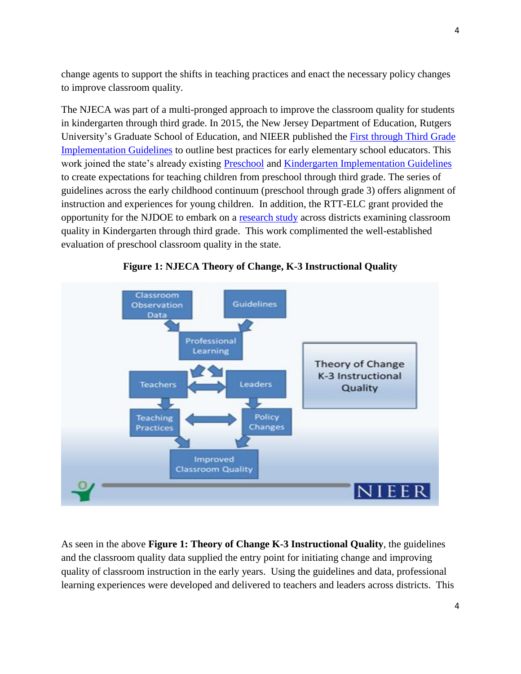change agents to support the shifts in teaching practices and enact the necessary policy changes to improve classroom quality.

The NJECA was part of a multi-pronged approach to improve the classroom quality for students in kindergarten through third grade. In 2015, the New Jersey Department of Education, Rutgers University's Graduate School of Education, and NIEER published the [First through Third Grade](http://nieer.org/wp-content/uploads/2016/05/ImplementationGuidelines1-3.pdf)  [Implementation Guidelines](http://nieer.org/wp-content/uploads/2016/05/ImplementationGuidelines1-3.pdf) to outline best practices for early elementary school educators. This work joined the state's already existing [Preschool](http://www.nj.gov/education/ece/guide/impguidelines.pdf) and [Kindergarten Implementation Guidelines](http://www.nj.gov/education/ece/guide/KindergartenGuidelines.pdf) to create expectations for teaching children from preschool through third grade. The series of guidelines across the early childhood continuum (preschool through grade 3) offers alignment of instruction and experiences for young children. In addition, the RTT-ELC grant provided the opportunity for the NJDOE to embark on a [research study](http://nieer.org/2017/03/17/giving-young-students-bigger-slice-pie-chart) across districts examining classroom quality in Kindergarten through third grade. This work complimented the well-established evaluation of preschool classroom quality in the state.





As seen in the above **Figure 1: Theory of Change K-3 Instructional Quality**, the guidelines and the classroom quality data supplied the entry point for initiating change and improving quality of classroom instruction in the early years. Using the guidelines and data, professional learning experiences were developed and delivered to teachers and leaders across districts. This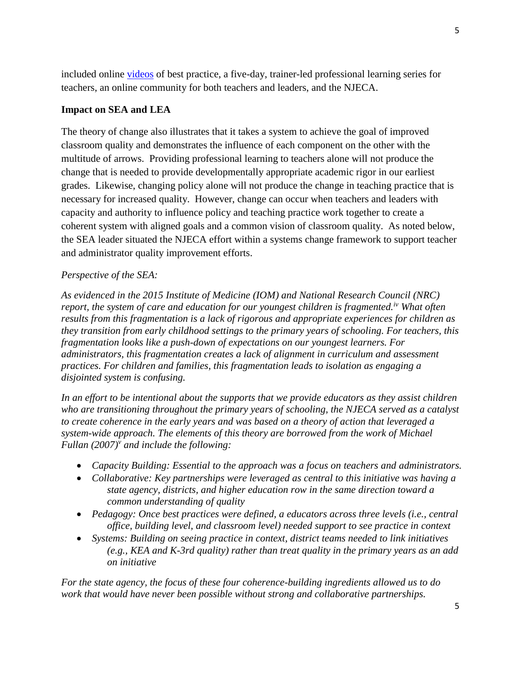included online [videos](http://www.state.nj.us/education/ece/rttt/k3/) of best practice, a five-day, trainer-led professional learning series for teachers, an online community for both teachers and leaders, and the NJECA.

## **Impact on SEA and LEA**

The theory of change also illustrates that it takes a system to achieve the goal of improved classroom quality and demonstrates the influence of each component on the other with the multitude of arrows. Providing professional learning to teachers alone will not produce the change that is needed to provide developmentally appropriate academic rigor in our earliest grades. Likewise, changing policy alone will not produce the change in teaching practice that is necessary for increased quality. However, change can occur when teachers and leaders with capacity and authority to influence policy and teaching practice work together to create a coherent system with aligned goals and a common vision of classroom quality. As noted below, the SEA leader situated the NJECA effort within a systems change framework to support teacher and administrator quality improvement efforts.

### *Perspective of the SEA:*

*As evidenced in the 2015 Institute of Medicine (IOM) and National Research Council (NRC) report, the system of care and education for our youngest children is fragmented.iv What often results from this fragmentation is a lack of rigorous and appropriate experiences for children as they transition from early childhood settings to the primary years of schooling. For teachers, this fragmentation looks like a push-down of expectations on our youngest learners. For administrators, this fragmentation creates a lack of alignment in curriculum and assessment practices. For children and families, this fragmentation leads to isolation as engaging a disjointed system is confusing.* 

*In an effort to be intentional about the supports that we provide educators as they assist children who are transitioning throughout the primary years of schooling, the NJECA served as a catalyst to create coherence in the early years and was based on a theory of action that leveraged a system-wide approach. The elements of this theory are borrowed from the work of Michael Fullan (2007)<sup>v</sup> and include the following:* 

- *Capacity Building: Essential to the approach was a focus on teachers and administrators.*
- *Collaborative: Key partnerships were leveraged as central to this initiative was having a state agency, districts, and higher education row in the same direction toward a common understanding of quality*
- *Pedagogy: Once best practices were defined, a educators across three levels (i.e., central office, building level, and classroom level) needed support to see practice in context*
- *Systems: Building on seeing practice in context, district teams needed to link initiatives (e.g., KEA and K-3rd quality) rather than treat quality in the primary years as an add on initiative*

*For the state agency, the focus of these four coherence-building ingredients allowed us to do work that would have never been possible without strong and collaborative partnerships.*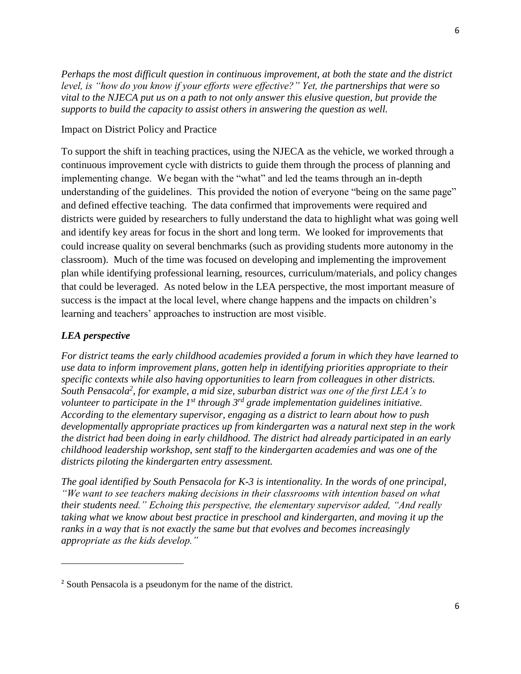*Perhaps the most difficult question in continuous improvement, at both the state and the district level, is "how do you know if your efforts were effective?" Yet, the partnerships that were so vital to the NJECA put us on a path to not only answer this elusive question, but provide the supports to build the capacity to assist others in answering the question as well.* 

#### Impact on District Policy and Practice

To support the shift in teaching practices, using the NJECA as the vehicle, we worked through a continuous improvement cycle with districts to guide them through the process of planning and implementing change. We began with the "what" and led the teams through an in-depth understanding of the guidelines. This provided the notion of everyone "being on the same page" and defined effective teaching. The data confirmed that improvements were required and districts were guided by researchers to fully understand the data to highlight what was going well and identify key areas for focus in the short and long term. We looked for improvements that could increase quality on several benchmarks (such as providing students more autonomy in the classroom). Much of the time was focused on developing and implementing the improvement plan while identifying professional learning, resources, curriculum/materials, and policy changes that could be leveraged. As noted below in the LEA perspective, the most important measure of success is the impact at the local level, where change happens and the impacts on children's learning and teachers' approaches to instruction are most visible.

#### *LEA perspective*

l

*For district teams the early childhood academies provided a forum in which they have learned to use data to inform improvement plans, gotten help in identifying priorities appropriate to their specific contexts while also having opportunities to learn from colleagues in other districts. South Pensacola<sup>2</sup> , for example, a mid size, suburban district was one of the first LEA's to volunteer to participate in the 1st through 3rd grade implementation guidelines initiative. According to the elementary supervisor, engaging as a district to learn about how to push developmentally appropriate practices up from kindergarten was a natural next step in the work the district had been doing in early childhood. The district had already participated in an early childhood leadership workshop, sent staff to the kindergarten academies and was one of the districts piloting the kindergarten entry assessment.* 

*The goal identified by South Pensacola for K-3 is intentionality. In the words of one principal, "We want to see teachers making decisions in their classrooms with intention based on what their students need." Echoing this perspective, the elementary supervisor added, "And really taking what we know about best practice in preschool and kindergarten, and moving it up the ranks in a way that is not exactly the same but that evolves and becomes increasingly appropriate as the kids develop."* 

<sup>2</sup> South Pensacola is a pseudonym for the name of the district.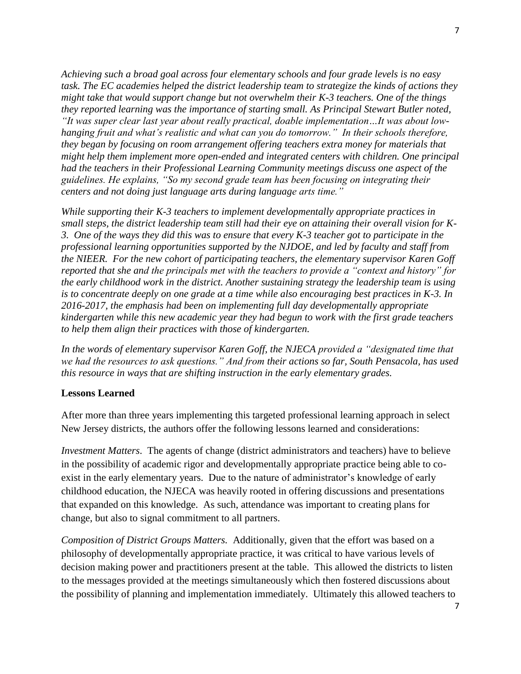*Achieving such a broad goal across four elementary schools and four grade levels is no easy task. The EC academies helped the district leadership team to strategize the kinds of actions they might take that would support change but not overwhelm their K-3 teachers. One of the things they reported learning was the importance of starting small. As Principal Stewart Butler noted, "It was super clear last year about really practical, doable implementation…It was about lowhanging fruit and what's realistic and what can you do tomorrow." In their schools therefore, they began by focusing on room arrangement offering teachers extra money for materials that might help them implement more open-ended and integrated centers with children. One principal had the teachers in their Professional Learning Community meetings discuss one aspect of the guidelines. He explains, "So my second grade team has been focusing on integrating their centers and not doing just language arts during language arts time."*

*While supporting their K-3 teachers to implement developmentally appropriate practices in small steps, the district leadership team still had their eye on attaining their overall vision for K-3. One of the ways they did this was to ensure that every K-3 teacher got to participate in the professional learning opportunities supported by the NJDOE, and led by faculty and staff from the NIEER. For the new cohort of participating teachers, the elementary supervisor Karen Goff reported that she and the principals met with the teachers to provide a "context and history" for the early childhood work in the district. Another sustaining strategy the leadership team is using is to concentrate deeply on one grade at a time while also encouraging best practices in K-3. In 2016-2017, the emphasis had been on implementing full day developmentally appropriate kindergarten while this new academic year they had begun to work with the first grade teachers to help them align their practices with those of kindergarten.*

*In the words of elementary supervisor Karen Goff, the NJECA provided a "designated time that we had the resources to ask questions." And from their actions so far, South Pensacola, has used this resource in ways that are shifting instruction in the early elementary grades.* 

#### **Lessons Learned**

After more than three years implementing this targeted professional learning approach in select New Jersey districts, the authors offer the following lessons learned and considerations:

*Investment Matters*. The agents of change (district administrators and teachers) have to believe in the possibility of academic rigor and developmentally appropriate practice being able to coexist in the early elementary years. Due to the nature of administrator's knowledge of early childhood education, the NJECA was heavily rooted in offering discussions and presentations that expanded on this knowledge. As such, attendance was important to creating plans for change, but also to signal commitment to all partners.

*Composition of District Groups Matters.* Additionally, given that the effort was based on a philosophy of developmentally appropriate practice, it was critical to have various levels of decision making power and practitioners present at the table. This allowed the districts to listen to the messages provided at the meetings simultaneously which then fostered discussions about the possibility of planning and implementation immediately. Ultimately this allowed teachers to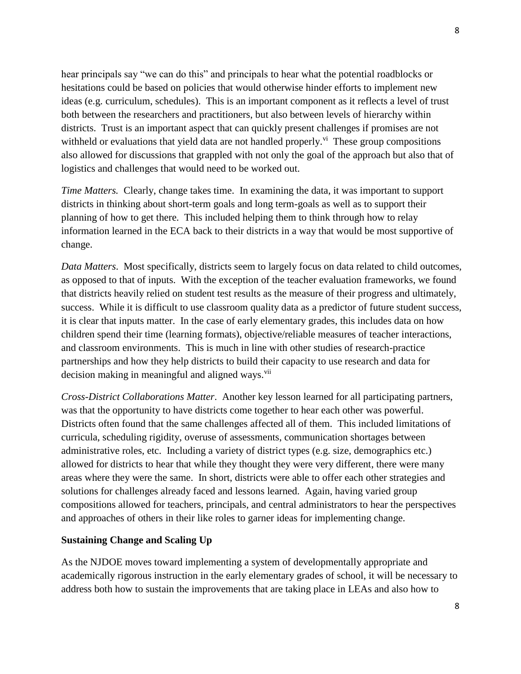hear principals say "we can do this" and principals to hear what the potential roadblocks or hesitations could be based on policies that would otherwise hinder efforts to implement new ideas (e.g. curriculum, schedules). This is an important component as it reflects a level of trust both between the researchers and practitioners, but also between levels of hierarchy within districts. Trust is an important aspect that can quickly present challenges if promises are not withheld or evaluations that yield data are not handled properly.<sup>vi</sup> These group compositions also allowed for discussions that grappled with not only the goal of the approach but also that of logistics and challenges that would need to be worked out.

*Time Matters.* Clearly, change takes time. In examining the data, it was important to support districts in thinking about short-term goals and long term-goals as well as to support their planning of how to get there. This included helping them to think through how to relay information learned in the ECA back to their districts in a way that would be most supportive of change.

*Data Matters*. Most specifically, districts seem to largely focus on data related to child outcomes, as opposed to that of inputs. With the exception of the teacher evaluation frameworks, we found that districts heavily relied on student test results as the measure of their progress and ultimately, success. While it is difficult to use classroom quality data as a predictor of future student success, it is clear that inputs matter. In the case of early elementary grades, this includes data on how children spend their time (learning formats), objective/reliable measures of teacher interactions, and classroom environments. This is much in line with other studies of research-practice partnerships and how they help districts to build their capacity to use research and data for decision making in meaningful and aligned ways.<sup>vii</sup>

*Cross-District Collaborations Matter*. Another key lesson learned for all participating partners, was that the opportunity to have districts come together to hear each other was powerful. Districts often found that the same challenges affected all of them. This included limitations of curricula, scheduling rigidity, overuse of assessments, communication shortages between administrative roles, etc. Including a variety of district types (e.g. size, demographics etc.) allowed for districts to hear that while they thought they were very different, there were many areas where they were the same. In short, districts were able to offer each other strategies and solutions for challenges already faced and lessons learned. Again, having varied group compositions allowed for teachers, principals, and central administrators to hear the perspectives and approaches of others in their like roles to garner ideas for implementing change.

### **Sustaining Change and Scaling Up**

As the NJDOE moves toward implementing a system of developmentally appropriate and academically rigorous instruction in the early elementary grades of school, it will be necessary to address both how to sustain the improvements that are taking place in LEAs and also how to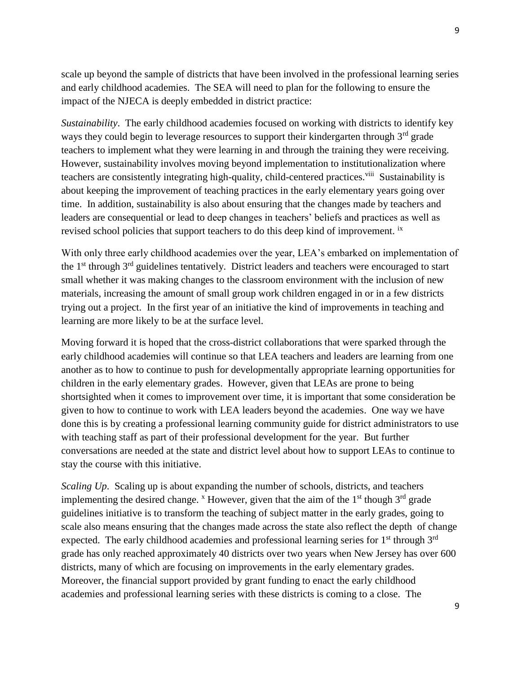scale up beyond the sample of districts that have been involved in the professional learning series and early childhood academies. The SEA will need to plan for the following to ensure the impact of the NJECA is deeply embedded in district practice:

*Sustainability*. The early childhood academies focused on working with districts to identify key ways they could begin to leverage resources to support their kindergarten through 3<sup>rd</sup> grade teachers to implement what they were learning in and through the training they were receiving. However, sustainability involves moving beyond implementation to institutionalization where teachers are consistently integrating high-quality, child-centered practices.<sup>viii</sup> Sustainability is about keeping the improvement of teaching practices in the early elementary years going over time. In addition, sustainability is also about ensuring that the changes made by teachers and leaders are consequential or lead to deep changes in teachers' beliefs and practices as well as revised school policies that support teachers to do this deep kind of improvement. <sup>ix</sup>

With only three early childhood academies over the year, LEA's embarked on implementation of the  $1<sup>st</sup>$  through  $3<sup>rd</sup>$  guidelines tentatively. District leaders and teachers were encouraged to start small whether it was making changes to the classroom environment with the inclusion of new materials, increasing the amount of small group work children engaged in or in a few districts trying out a project. In the first year of an initiative the kind of improvements in teaching and learning are more likely to be at the surface level.

Moving forward it is hoped that the cross-district collaborations that were sparked through the early childhood academies will continue so that LEA teachers and leaders are learning from one another as to how to continue to push for developmentally appropriate learning opportunities for children in the early elementary grades. However, given that LEAs are prone to being shortsighted when it comes to improvement over time, it is important that some consideration be given to how to continue to work with LEA leaders beyond the academies. One way we have done this is by creating a professional learning community guide for district administrators to use with teaching staff as part of their professional development for the year. But further conversations are needed at the state and district level about how to support LEAs to continue to stay the course with this initiative.

*Scaling Up.* Scaling up is about expanding the number of schools, districts, and teachers implementing the desired change.  $^x$  However, given that the aim of the  $1<sup>st</sup>$  though  $3<sup>rd</sup>$  grade guidelines initiative is to transform the teaching of subject matter in the early grades, going to scale also means ensuring that the changes made across the state also reflect the depth of change expected. The early childhood academies and professional learning series for  $1<sup>st</sup>$  through  $3<sup>rd</sup>$ grade has only reached approximately 40 districts over two years when New Jersey has over 600 districts, many of which are focusing on improvements in the early elementary grades. Moreover, the financial support provided by grant funding to enact the early childhood academies and professional learning series with these districts is coming to a close. The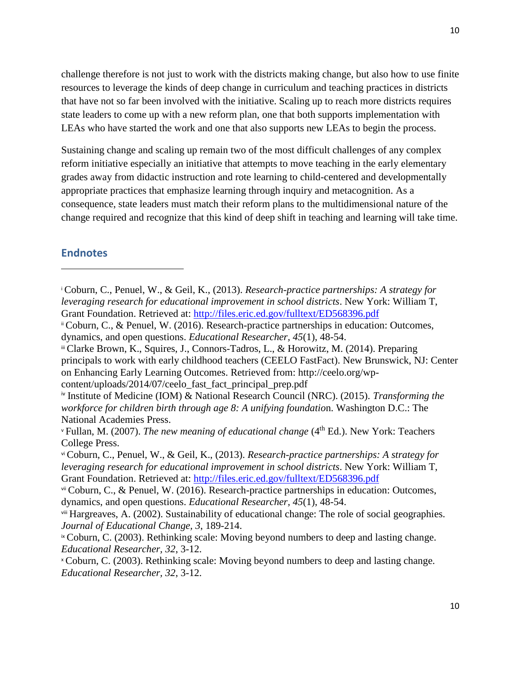challenge therefore is not just to work with the districts making change, but also how to use finite resources to leverage the kinds of deep change in curriculum and teaching practices in districts that have not so far been involved with the initiative. Scaling up to reach more districts requires state leaders to come up with a new reform plan, one that both supports implementation with LEAs who have started the work and one that also supports new LEAs to begin the process.

Sustaining change and scaling up remain two of the most difficult challenges of any complex reform initiative especially an initiative that attempts to move teaching in the early elementary grades away from didactic instruction and rote learning to child-centered and developmentally appropriate practices that emphasize learning through inquiry and metacognition. As a consequence, state leaders must match their reform plans to the multidimensional nature of the change required and recognize that this kind of deep shift in teaching and learning will take time.

# **Endnotes**

 $\overline{\phantom{a}}$ 

iii Clarke Brown, K., Squires, J., Connors-Tadros, L., & Horowitz, M. (2014). Preparing principals to work with early childhood teachers (CEELO FastFact). New Brunswick, NJ: Center on Enhancing Early Learning Outcomes. Retrieved from: http://ceelo.org/wpcontent/uploads/2014/07/ceelo\_fast\_fact\_principal\_prep.pdf

<sup>i</sup> Coburn, C., Penuel, W., & Geil, K., (2013). *Research-practice partnerships: A strategy for leveraging research for educational improvement in school districts*. New York: William T, Grant Foundation. Retrieved at:<http://files.eric.ed.gov/fulltext/ED568396.pdf>

ii Coburn, C., & Penuel, W. (2016). Research-practice partnerships in education: Outcomes, dynamics, and open questions. *Educational Researcher, 45*(1), 48-54.

iv Institute of Medicine (IOM) & National Research Council (NRC). (2015). *Transforming the workforce for children birth through age 8: A unifying foundatio*n. Washington D.C.: The National Academies Press.

<sup>v</sup> Fullan, M. (2007). *The new meaning of educational change* (4th Ed.). New York: Teachers College Press.

vi Coburn, C., Penuel, W., & Geil, K., (2013). *Research-practice partnerships: A strategy for leveraging research for educational improvement in school districts*. New York: William T, Grant Foundation. Retrieved at:<http://files.eric.ed.gov/fulltext/ED568396.pdf>

vii Coburn, C., & Penuel, W. (2016). Research-practice partnerships in education: Outcomes, dynamics, and open questions. *Educational Researcher, 45*(1), 48-54.

viii Hargreaves, A. (2002). Sustainability of educational change: The role of social geographies. *Journal of Educational Change, 3*, 189-214.

<sup>&</sup>lt;sup>ix</sup> Coburn, C. (2003). Rethinking scale: Moving beyond numbers to deep and lasting change. *Educational Researcher, 32*, 3-12.

<sup>x</sup> Coburn, C. (2003). Rethinking scale: Moving beyond numbers to deep and lasting change. *Educational Researcher, 32*, 3-12.